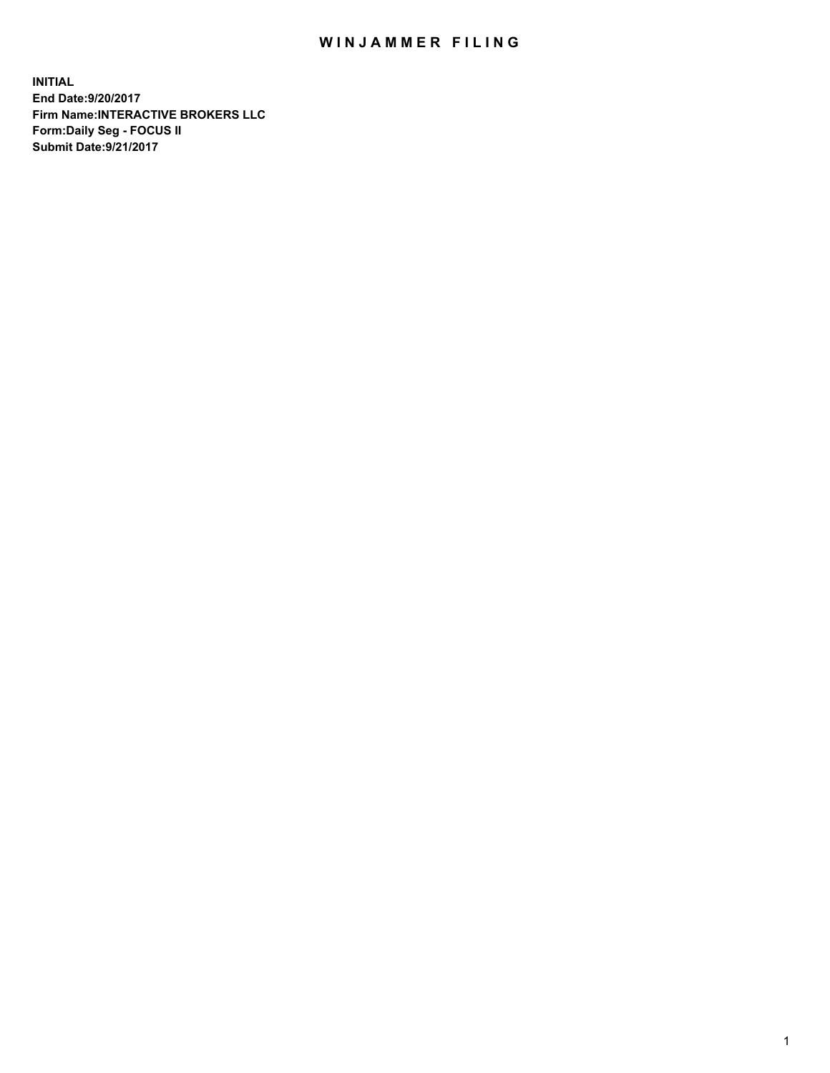## WIN JAMMER FILING

**INITIAL End Date:9/20/2017 Firm Name:INTERACTIVE BROKERS LLC Form:Daily Seg - FOCUS II Submit Date:9/21/2017**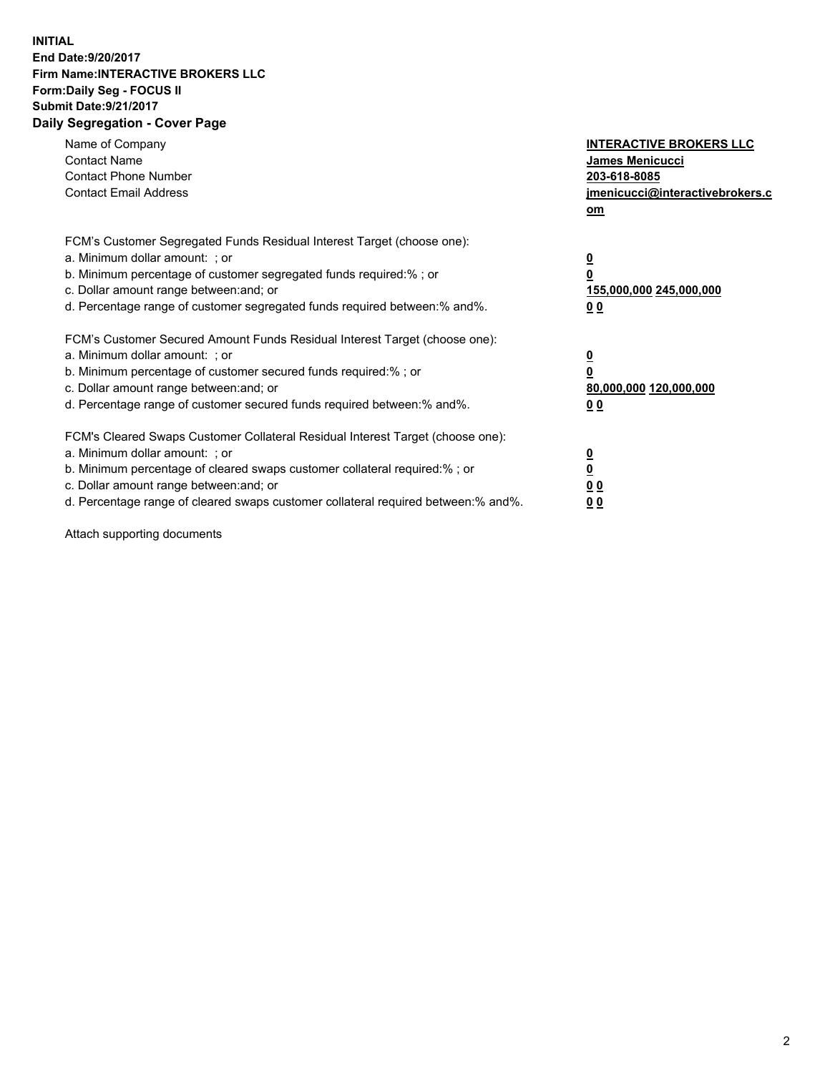## **INITIAL End Date:9/20/2017 Firm Name:INTERACTIVE BROKERS LLC Form:Daily Seg - FOCUS II Submit Date:9/21/2017 Daily Segregation - Cover Page**

| Name of Company<br><b>Contact Name</b><br><b>Contact Phone Number</b><br><b>Contact Email Address</b>                                                                                                                                                                                                                          | <b>INTERACTIVE BROKERS LLC</b><br>James Menicucci<br>203-618-8085<br>jmenicucci@interactivebrokers.c<br>om |
|--------------------------------------------------------------------------------------------------------------------------------------------------------------------------------------------------------------------------------------------------------------------------------------------------------------------------------|------------------------------------------------------------------------------------------------------------|
| FCM's Customer Segregated Funds Residual Interest Target (choose one):<br>a. Minimum dollar amount: ; or<br>b. Minimum percentage of customer segregated funds required:%; or<br>c. Dollar amount range between: and; or<br>d. Percentage range of customer segregated funds required between:% and%.                          | $\overline{\mathbf{0}}$<br>0<br>155,000,000 245,000,000<br>0 <sub>0</sub>                                  |
| FCM's Customer Secured Amount Funds Residual Interest Target (choose one):<br>a. Minimum dollar amount: ; or<br>b. Minimum percentage of customer secured funds required:%; or<br>c. Dollar amount range between: and; or<br>d. Percentage range of customer secured funds required between:% and%.                            | $\overline{\mathbf{0}}$<br>$\overline{\mathbf{0}}$<br>80,000,000 120,000,000<br>00                         |
| FCM's Cleared Swaps Customer Collateral Residual Interest Target (choose one):<br>a. Minimum dollar amount: ; or<br>b. Minimum percentage of cleared swaps customer collateral required:% ; or<br>c. Dollar amount range between: and; or<br>d. Percentage range of cleared swaps customer collateral required between:% and%. | $\overline{\mathbf{0}}$<br>$\overline{\mathbf{0}}$<br>0 <sub>0</sub><br><u>00</u>                          |

Attach supporting documents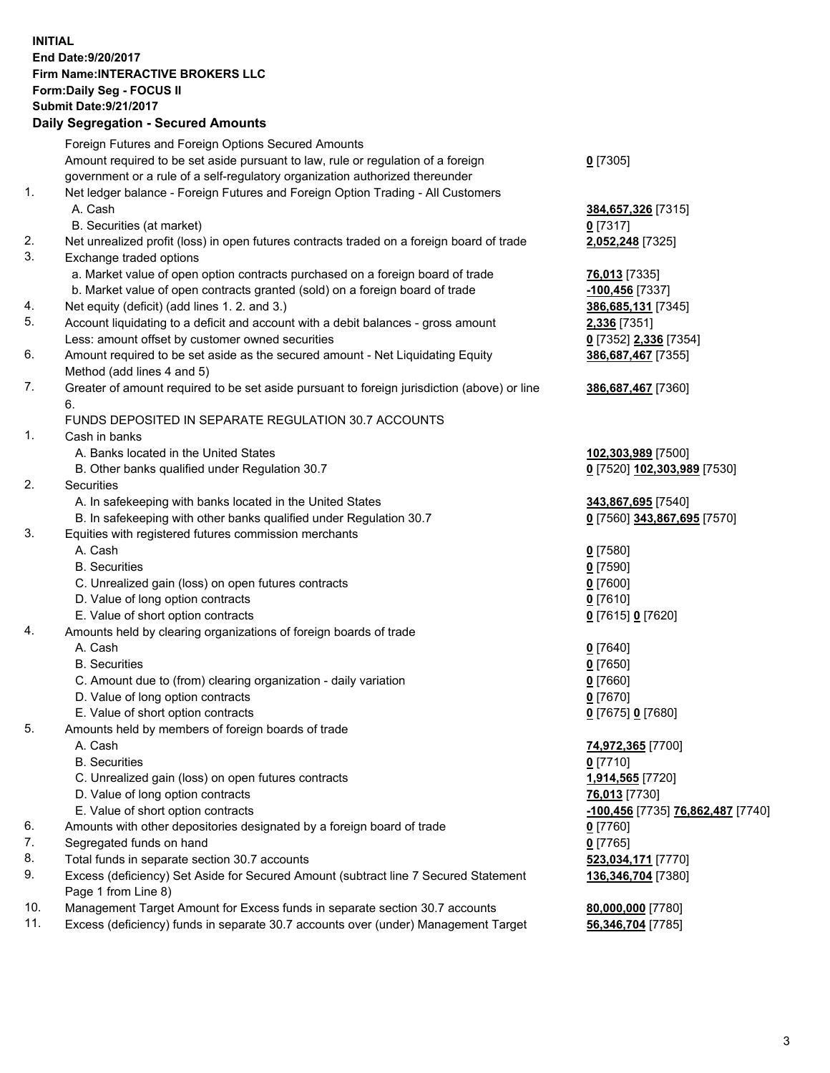## **INITIAL End Date:9/20/2017 Firm Name:INTERACTIVE BROKERS LLC Form:Daily Seg - FOCUS II Submit Date:9/21/2017**

|     | <b>Daily Segregation - Secured Amounts</b>                                                  |                                   |
|-----|---------------------------------------------------------------------------------------------|-----------------------------------|
|     | Foreign Futures and Foreign Options Secured Amounts                                         |                                   |
|     | Amount required to be set aside pursuant to law, rule or regulation of a foreign            | $0$ [7305]                        |
|     | government or a rule of a self-regulatory organization authorized thereunder                |                                   |
| 1.  | Net ledger balance - Foreign Futures and Foreign Option Trading - All Customers             |                                   |
|     | A. Cash                                                                                     | 384,657,326 [7315]                |
|     | B. Securities (at market)                                                                   | 0 [7317]                          |
| 2.  | Net unrealized profit (loss) in open futures contracts traded on a foreign board of trade   | 2,052,248 [7325]                  |
| 3.  | Exchange traded options                                                                     |                                   |
|     | a. Market value of open option contracts purchased on a foreign board of trade              | <b>76,013</b> [7335]              |
|     | b. Market value of open contracts granted (sold) on a foreign board of trade                | -100,456 [7337]                   |
| 4.  | Net equity (deficit) (add lines 1. 2. and 3.)                                               | 386,685,131 [7345]                |
| 5.  | Account liquidating to a deficit and account with a debit balances - gross amount           | <b>2,336</b> [7351]               |
|     | Less: amount offset by customer owned securities                                            | 0 [7352] 2,336 [7354]             |
| 6.  | Amount required to be set aside as the secured amount - Net Liquidating Equity              | 386,687,467 [7355]                |
|     | Method (add lines 4 and 5)                                                                  |                                   |
| 7.  | Greater of amount required to be set aside pursuant to foreign jurisdiction (above) or line | 386,687,467 [7360]                |
|     | 6.                                                                                          |                                   |
|     | FUNDS DEPOSITED IN SEPARATE REGULATION 30.7 ACCOUNTS                                        |                                   |
| 1.  | Cash in banks                                                                               |                                   |
|     | A. Banks located in the United States                                                       | 102,303,989 [7500]                |
|     | B. Other banks qualified under Regulation 30.7                                              | 0 [7520] 102,303,989 [7530]       |
| 2.  | Securities                                                                                  |                                   |
|     | A. In safekeeping with banks located in the United States                                   | 343,867,695 [7540]                |
|     | B. In safekeeping with other banks qualified under Regulation 30.7                          | 0 [7560] 343,867,695 [7570]       |
| 3.  | Equities with registered futures commission merchants                                       |                                   |
|     | A. Cash                                                                                     | $0$ [7580]                        |
|     | <b>B.</b> Securities                                                                        | $0$ [7590]                        |
|     | C. Unrealized gain (loss) on open futures contracts<br>D. Value of long option contracts    | 0 [7600]<br>$0$ [7610]            |
|     | E. Value of short option contracts                                                          | 0 [7615] 0 [7620]                 |
| 4.  | Amounts held by clearing organizations of foreign boards of trade                           |                                   |
|     | A. Cash                                                                                     | $0$ [7640]                        |
|     | <b>B.</b> Securities                                                                        | <u>0</u> [7650]                   |
|     | C. Amount due to (from) clearing organization - daily variation                             | 0 [7660]                          |
|     | D. Value of long option contracts                                                           | $0$ [7670]                        |
|     | E. Value of short option contracts                                                          | 0 [7675] 0 [7680]                 |
| 5.  | Amounts held by members of foreign boards of trade                                          |                                   |
|     | A. Cash                                                                                     | 74,972,365 [7700]                 |
|     | <b>B.</b> Securities                                                                        | $0$ [7710]                        |
|     | C. Unrealized gain (loss) on open futures contracts                                         | 1,914,565 [7720]                  |
|     | D. Value of long option contracts                                                           | 76,013 [7730]                     |
|     | E. Value of short option contracts                                                          | -100,456 [7735] 76,862,487 [7740] |
| 6.  | Amounts with other depositories designated by a foreign board of trade                      | 0 [7760]                          |
| 7.  | Segregated funds on hand                                                                    | $0$ [7765]                        |
| 8.  | Total funds in separate section 30.7 accounts                                               | 523,034,171 [7770]                |
| 9.  | Excess (deficiency) Set Aside for Secured Amount (subtract line 7 Secured Statement         | 136,346,704 [7380]                |
|     | Page 1 from Line 8)                                                                         |                                   |
| 10. | Management Target Amount for Excess funds in separate section 30.7 accounts                 | 80,000,000 [7780]                 |
| 11. | Excess (deficiency) funds in separate 30.7 accounts over (under) Management Target          | 56,346,704 [7785]                 |
|     |                                                                                             |                                   |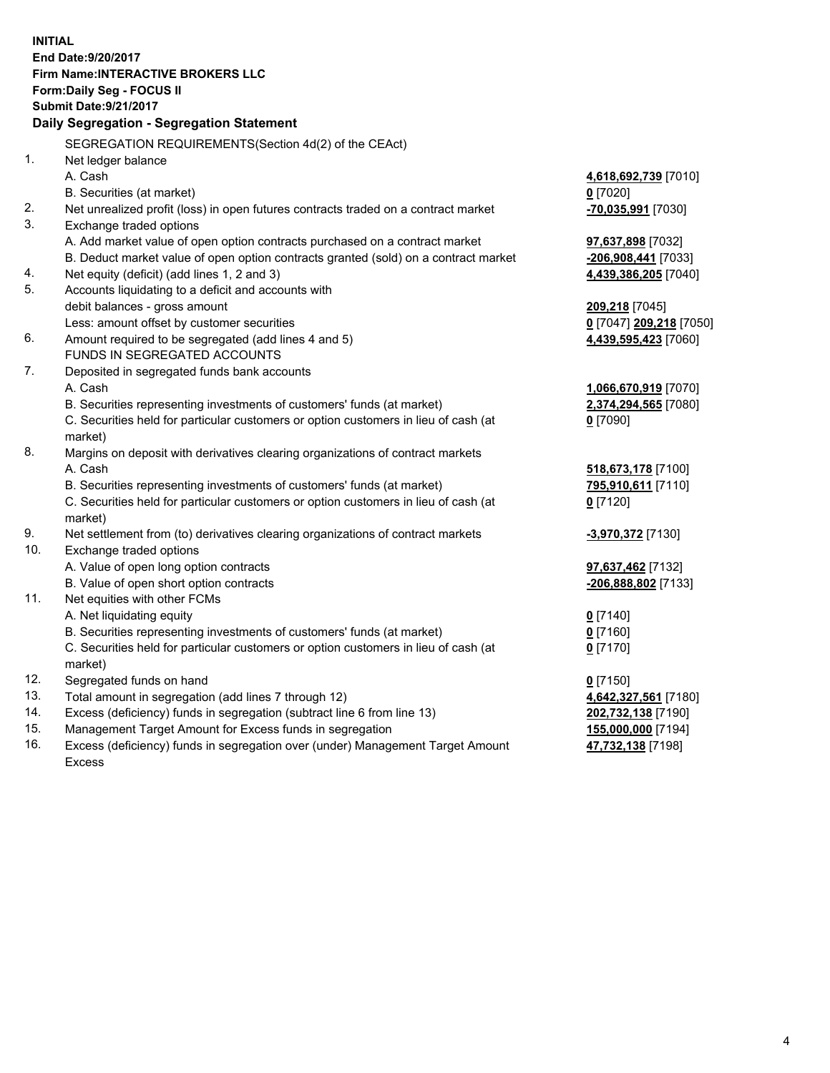**INITIAL End Date:9/20/2017 Firm Name:INTERACTIVE BROKERS LLC Form:Daily Seg - FOCUS II Submit Date:9/21/2017 Daily Segregation - Segregation Statement** SEGREGATION REQUIREMENTS(Section 4d(2) of the CEAct) 1. Net ledger balance A. Cash **4,618,692,739** [7010] B. Securities (at market) **0** [7020] 2. Net unrealized profit (loss) in open futures contracts traded on a contract market **-70,035,991** [7030] 3. Exchange traded options A. Add market value of open option contracts purchased on a contract market **97,637,898** [7032] B. Deduct market value of open option contracts granted (sold) on a contract market **-206,908,441** [7033] 4. Net equity (deficit) (add lines 1, 2 and 3) **4,439,386,205** [7040] 5. Accounts liquidating to a deficit and accounts with debit balances - gross amount **209,218** [7045] Less: amount offset by customer securities **0** [7047] **209,218** [7050] 6. Amount required to be segregated (add lines 4 and 5) **4,439,595,423** [7060] FUNDS IN SEGREGATED ACCOUNTS 7. Deposited in segregated funds bank accounts A. Cash **1,066,670,919** [7070] B. Securities representing investments of customers' funds (at market) **2,374,294,565** [7080] C. Securities held for particular customers or option customers in lieu of cash (at market) **0** [7090] 8. Margins on deposit with derivatives clearing organizations of contract markets A. Cash **518,673,178** [7100] B. Securities representing investments of customers' funds (at market) **795,910,611** [7110] C. Securities held for particular customers or option customers in lieu of cash (at market) **0** [7120] 9. Net settlement from (to) derivatives clearing organizations of contract markets **-3,970,372** [7130] 10. Exchange traded options A. Value of open long option contracts **97,637,462** [7132] B. Value of open short option contracts **-206,888,802** [7133] 11. Net equities with other FCMs A. Net liquidating equity **0** [7140] B. Securities representing investments of customers' funds (at market) **0** [7160] C. Securities held for particular customers or option customers in lieu of cash (at market) **0** [7170] 12. Segregated funds on hand **0** [7150] 13. Total amount in segregation (add lines 7 through 12) **4,642,327,561** [7180] 14. Excess (deficiency) funds in segregation (subtract line 6 from line 13) **202,732,138** [7190] 15. Management Target Amount for Excess funds in segregation **155,000,000** [7194] 16. Excess (deficiency) funds in segregation over (under) Management Target Amount **47,732,138** [7198]

Excess